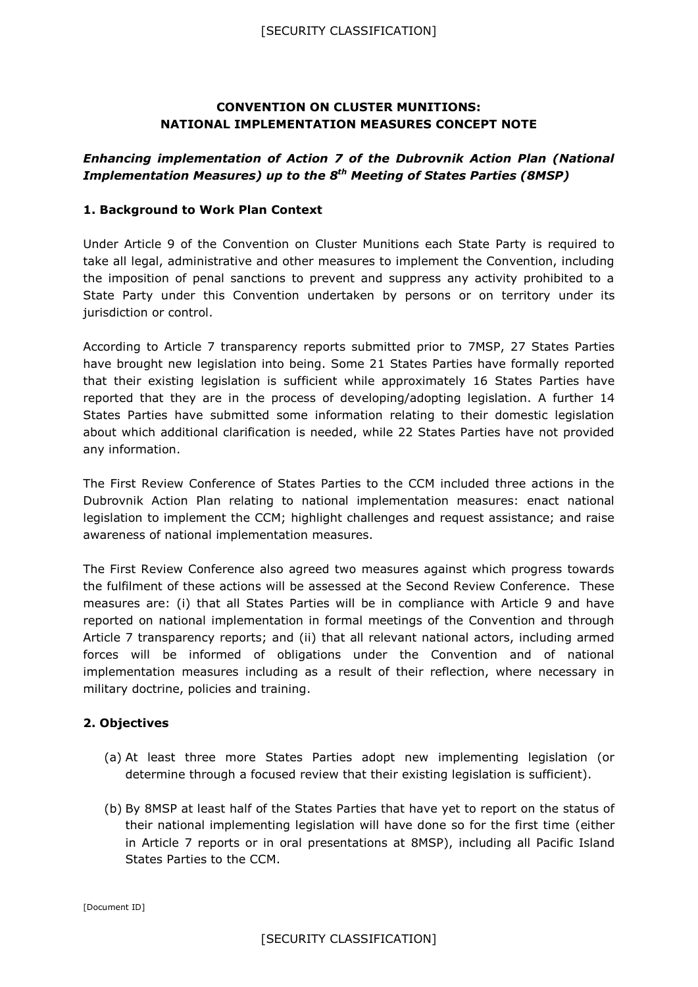## **CONVENTION ON CLUSTER MUNITIONS: NATIONAL IMPLEMENTATION MEASURES CONCEPT NOTE**

# *Enhancing implementation of Action 7 of the Dubrovnik Action Plan (National Implementation Measures) up to the 8 th Meeting of States Parties (8MSP)*

## **1. Background to Work Plan Context**

Under Article 9 of the Convention on Cluster Munitions each State Party is required to take all legal, administrative and other measures to implement the Convention, including the imposition of penal sanctions to prevent and suppress any activity prohibited to a State Party under this Convention undertaken by persons or on territory under its jurisdiction or control.

According to Article 7 transparency reports submitted prior to 7MSP, 27 States Parties have brought new legislation into being. Some 21 States Parties have formally reported that their existing legislation is sufficient while approximately 16 States Parties have reported that they are in the process of developing/adopting legislation. A further 14 States Parties have submitted some information relating to their domestic legislation about which additional clarification is needed, while 22 States Parties have not provided any information.

The First Review Conference of States Parties to the CCM included three actions in the Dubrovnik Action Plan relating to national implementation measures: enact national legislation to implement the CCM; highlight challenges and request assistance; and raise awareness of national implementation measures.

The First Review Conference also agreed two measures against which progress towards the fulfilment of these actions will be assessed at the Second Review Conference. These measures are: (i) that all States Parties will be in compliance with Article 9 and have reported on national implementation in formal meetings of the Convention and through Article 7 transparency reports; and (ii) that all relevant national actors, including armed forces will be informed of obligations under the Convention and of national implementation measures including as a result of their reflection, where necessary in military doctrine, policies and training.

## **2. Objectives**

- (a) At least three more States Parties adopt new implementing legislation (or determine through a focused review that their existing legislation is sufficient).
- (b) By 8MSP at least half of the States Parties that have yet to report on the status of their national implementing legislation will have done so for the first time (either in Article 7 reports or in oral presentations at 8MSP), including all Pacific Island States Parties to the CCM.

[Document ID]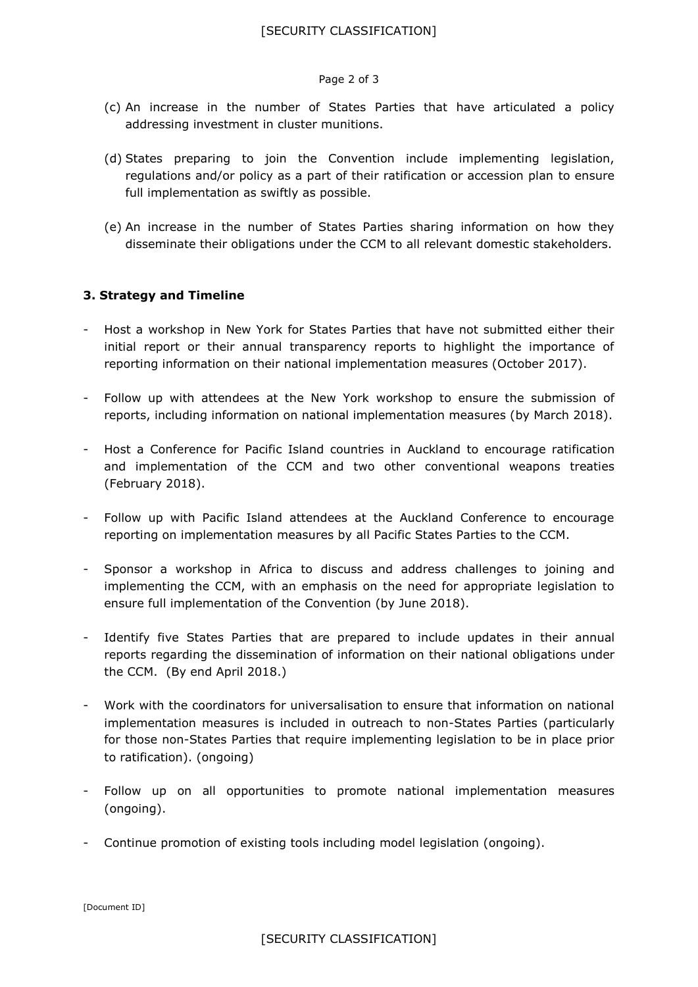#### Page 2 of 3

- (c) An increase in the number of States Parties that have articulated a policy addressing investment in cluster munitions.
- (d) States preparing to join the Convention include implementing legislation, regulations and/or policy as a part of their ratification or accession plan to ensure full implementation as swiftly as possible.
- (e) An increase in the number of States Parties sharing information on how they disseminate their obligations under the CCM to all relevant domestic stakeholders.

### **3. Strategy and Timeline**

- Host a workshop in New York for States Parties that have not submitted either their initial report or their annual transparency reports to highlight the importance of reporting information on their national implementation measures (October 2017).
- Follow up with attendees at the New York workshop to ensure the submission of reports, including information on national implementation measures (by March 2018).
- Host a Conference for Pacific Island countries in Auckland to encourage ratification and implementation of the CCM and two other conventional weapons treaties (February 2018).
- Follow up with Pacific Island attendees at the Auckland Conference to encourage reporting on implementation measures by all Pacific States Parties to the CCM.
- Sponsor a workshop in Africa to discuss and address challenges to joining and implementing the CCM, with an emphasis on the need for appropriate legislation to ensure full implementation of the Convention (by June 2018).
- Identify five States Parties that are prepared to include updates in their annual reports regarding the dissemination of information on their national obligations under the CCM. (By end April 2018.)
- Work with the coordinators for universalisation to ensure that information on national implementation measures is included in outreach to non-States Parties (particularly for those non-States Parties that require implementing legislation to be in place prior to ratification). (ongoing)
- Follow up on all opportunities to promote national implementation measures (ongoing).
- Continue promotion of existing tools including model legislation (ongoing).